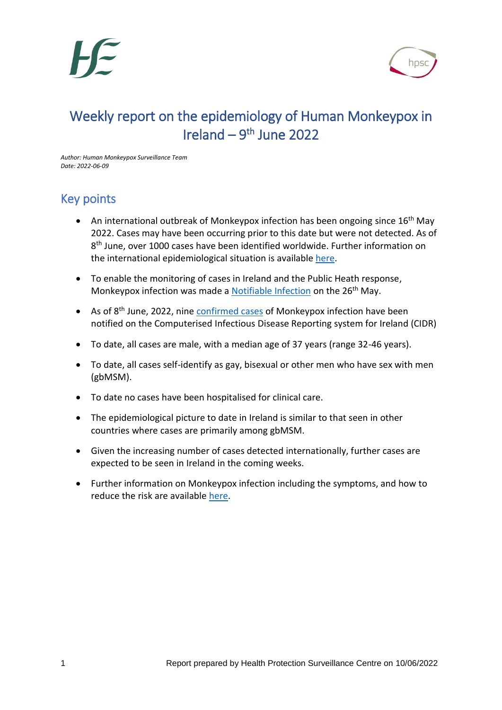

# Weekly report on the epidemiology of Human Monkeypox in Ireland  $-9<sup>th</sup>$  June 2022

*Author: Human Monkeypox Surveillance Team Date: 2022-06-09*

# Key points

- An international outbreak of Monkeypox infection has been ongoing since 16<sup>th</sup> May 2022. Cases may have been occurring prior to this date but were not detected. As of 8<sup>th</sup> June, over 1000 cases have been identified worldwide. Further information on the international epidemiological situation is available [here.](https://www.ecdc.europa.eu/en/monkeypox-outbreak)
- To enable the monitoring of cases in Ireland and the Public Heath response, Monkeypox infection was made a [Notifiable Infection](https://www.hpsc.ie/notifiablediseases/resources/epidemiologicalweeks/) on the 26<sup>th</sup> May.
- As of 8<sup>th</sup> June, 2022, nine [confirmed cases](https://www.hpsc.ie/a-z/zoonotic/monkeypox/casedefinition/) of Monkeypox infection have been notified on the Computerised Infectious Disease Reporting system for Ireland (CIDR)
- To date, all cases are male, with a median age of 37 years (range 32-46 years).
- To date, all cases self-identify as gay, bisexual or other men who have sex with men (gbMSM).
- To date no cases have been hospitalised for clinical care.
- The epidemiological picture to date in Ireland is similar to that seen in other countries where cases are primarily among gbMSM.
- Given the increasing number of cases detected internationally, further cases are expected to be seen in Ireland in the coming weeks.
- Further information on Monkeypox infection including the symptoms, and how to reduce the risk are available [here.](https://www.hpsc.ie/a-z/zoonotic/monkeypox/factsheets/)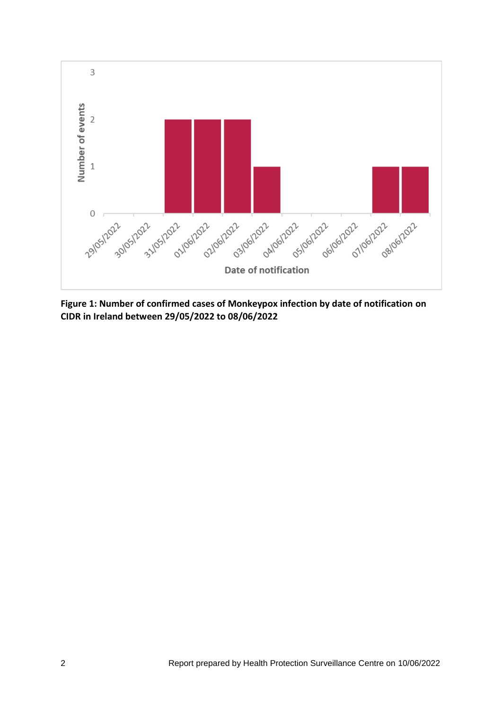

**Figure 1: Number of confirmed cases of Monkeypox infection by date of notification on CIDR in Ireland between 29/05/2022 to 08/06/2022**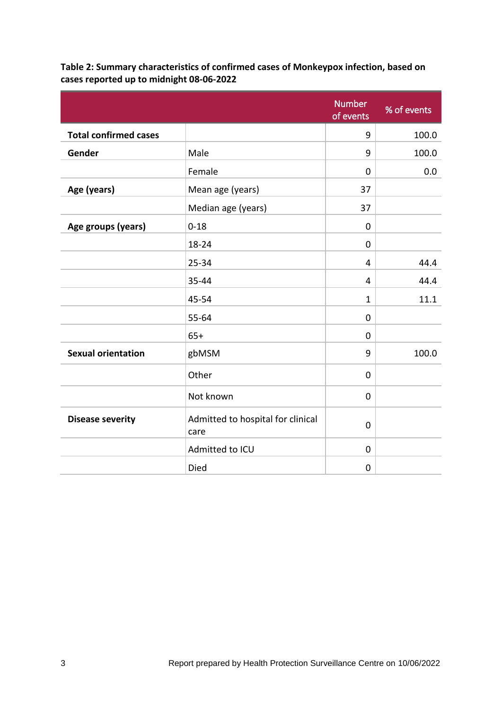|                              |                                           | <b>Number</b><br>of events | % of events |
|------------------------------|-------------------------------------------|----------------------------|-------------|
| <b>Total confirmed cases</b> |                                           | 9                          | 100.0       |
| Gender                       | Male                                      | 9                          | 100.0       |
|                              | Female                                    | $\mathbf 0$                | 0.0         |
| Age (years)                  | Mean age (years)                          | 37                         |             |
|                              | Median age (years)                        | 37                         |             |
| Age groups (years)           | $0 - 18$                                  | $\mathbf 0$                |             |
|                              | 18-24                                     | $\mathbf 0$                |             |
|                              | 25-34                                     | 4                          | 44.4        |
|                              | 35-44                                     | 4                          | 44.4        |
|                              | 45-54                                     | $\mathbf{1}$               | 11.1        |
|                              | 55-64                                     | $\mathbf 0$                |             |
|                              | $65+$                                     | $\mathbf 0$                |             |
| <b>Sexual orientation</b>    | gbMSM                                     | 9                          | 100.0       |
|                              | Other                                     | $\mathbf 0$                |             |
|                              | Not known                                 | $\mathbf 0$                |             |
| <b>Disease severity</b>      | Admitted to hospital for clinical<br>care | $\mathbf 0$                |             |
|                              | Admitted to ICU                           | $\mathbf 0$                |             |
|                              | Died                                      | $\mathbf 0$                |             |

**Table 2: Summary characteristics of confirmed cases of Monkeypox infection, based on cases reported up to midnight 08-06-2022**